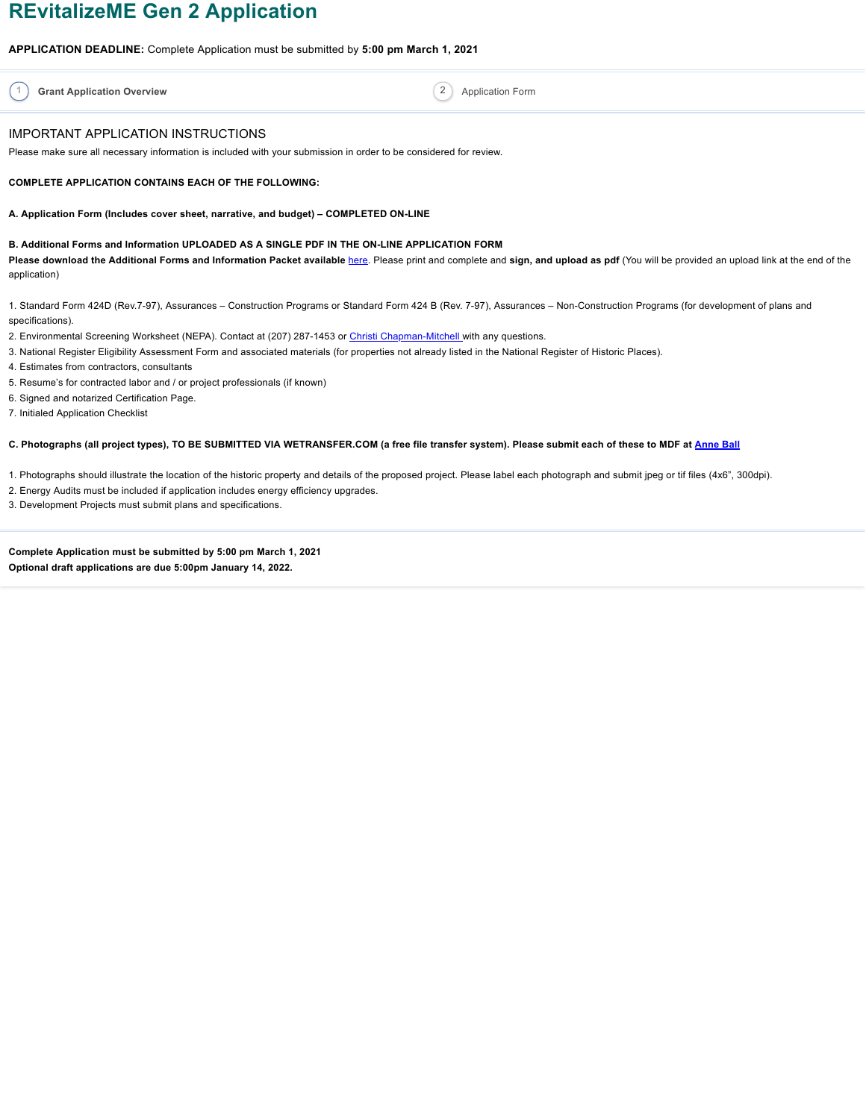# **REvitalizeME Gen 2 Application**

**APPLICATION DEADLINE:** Complete Application must be submitted by **5:00 pm March 1, 2021**

**1 Grant Application Overview** Application Form **Application** Form **Application** Form

#### IMPORTANT APPLICATION INSTRUCTIONS

Please make sure all necessary information is included with your submission in order to be considered for review.

#### **COMPLETE APPLICATION CONTAINS EACH OF THE FOLLOWING:**

**A. Application Form (Includes cover sheet, narrative, and budget) – COMPLETED ON-LINE**

#### **B. Additional Forms and Information UPLOADED AS A SINGLE PDF IN THE ON-LINE APPLICATION FORM**

Please download the Additional Forms and Information Packet available [here](https://s3.us-west-2.amazonaws.com/filestorage-asset.wufoo.com/3f7b5d6a-5529-4a26-a243-55b0653680eb/748e0841-b4d0-4a3e-93bd-be9b1a8fdef5). Please print and complete and sign, and upload as pdf (You will be provided an upload link at the end of the application)

1. Standard Form 424D (Rev.7-97), Assurances – Construction Programs or Standard Form 424 B (Rev. 7-97), Assurances – Non-Construction Programs (for development of plans and specifications).

- 2. Environmental Screening Worksheet (NEPA). Contact at (207) 287-1453 or Christi [Chapman-Mitchell](mailto:christi.chapman-mitchell@maine.gov) with any questions.
- 3. National Register Eligibility Assessment Form and associated materials (for properties not already listed in the National Register of Historic Places).
- 4. Estimates from contractors, consultants
- 5. Resume's for contracted labor and / or project professionals (if known)
- 6. Signed and notarized Certification Page.

7. Initialed Application Checklist

#### C. Photographs (all project types), TO BE SUBMITTED VIA WETRANSFER.COM (a free file transfer system). Please submit each of these to MDF at [Anne](mailto:aball@mdf.org) Ball

1. Photographs should illustrate the location of the historic property and details of the proposed project. Please label each photograph and submit jpeg or tif files (4x6", 300dpi).

2. Energy Audits must be included if application includes energy efficiency upgrades.

3. Development Projects must submit plans and specifications.

**Complete Application must be submitted by 5:00 pm March 1, 2021 Optional draft applications are due 5:00pm January 14, 2022.**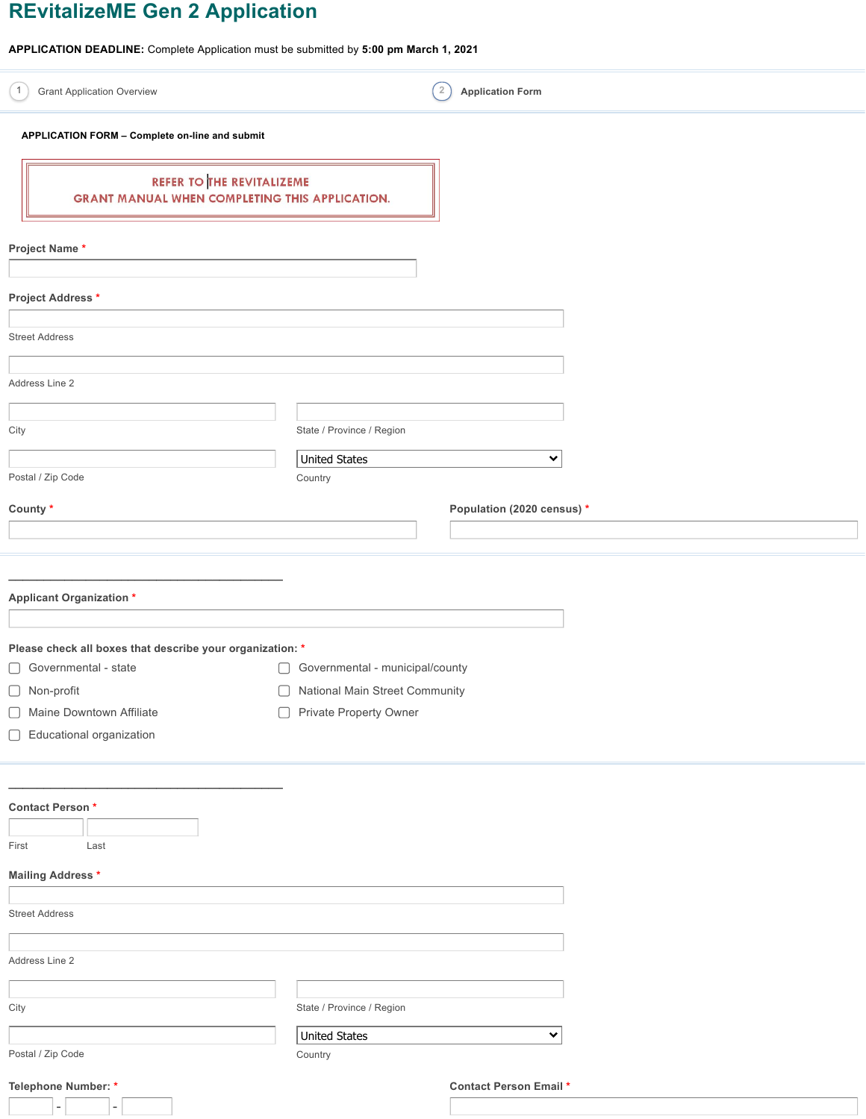# **REvitalizeME Gen 2 Application**

**APPLICATION DEADLINE:** Complete Application must be submitted by **5:00 pm March 1, 2021**

| $\mathbf{1}$<br><b>Grant Application Overview</b>                                  |                                      | $\overline{2}$<br><b>Application Form</b> |
|------------------------------------------------------------------------------------|--------------------------------------|-------------------------------------------|
| APPLICATION FORM - Complete on-line and submit                                     |                                      |                                           |
| REFER TO THE REVITALIZEME<br><b>GRANT MANUAL WHEN COMPLETING THIS APPLICATION.</b> |                                      |                                           |
| Project Name*                                                                      |                                      |                                           |
| Project Address *                                                                  |                                      |                                           |
| <b>Street Address</b>                                                              |                                      |                                           |
| Address Line 2                                                                     |                                      |                                           |
|                                                                                    |                                      |                                           |
| City                                                                               | State / Province / Region            |                                           |
| Postal / Zip Code                                                                  | <b>United States</b><br>Country      | ×                                         |
| County *                                                                           |                                      | Population (2020 census) *                |
|                                                                                    |                                      |                                           |
|                                                                                    |                                      |                                           |
| <b>Applicant Organization *</b>                                                    |                                      |                                           |
|                                                                                    |                                      |                                           |
| Please check all boxes that describe your organization: *                          |                                      |                                           |
| Governmental - state                                                               | Governmental - municipal/county<br>U |                                           |
| □ Non-profit                                                                       | National Main Street Community       |                                           |
| Maine Downtown Affiliate<br>U                                                      | Private Property Owner<br>$\Box$     |                                           |
| Educational organization                                                           |                                      |                                           |
|                                                                                    |                                      |                                           |
| Contact Person*                                                                    |                                      |                                           |
| Last<br>First                                                                      |                                      |                                           |
| <b>Mailing Address *</b>                                                           |                                      |                                           |
|                                                                                    |                                      |                                           |
| <b>Street Address</b>                                                              |                                      |                                           |
| Address Line 2                                                                     |                                      |                                           |
|                                                                                    |                                      |                                           |
| City                                                                               | State / Province / Region            |                                           |
| Postal / Zip Code                                                                  | <b>United States</b><br>Country      | 丷                                         |
| Telephone Number: *                                                                |                                      | <b>Contact Person Email *</b>             |
|                                                                                    |                                      |                                           |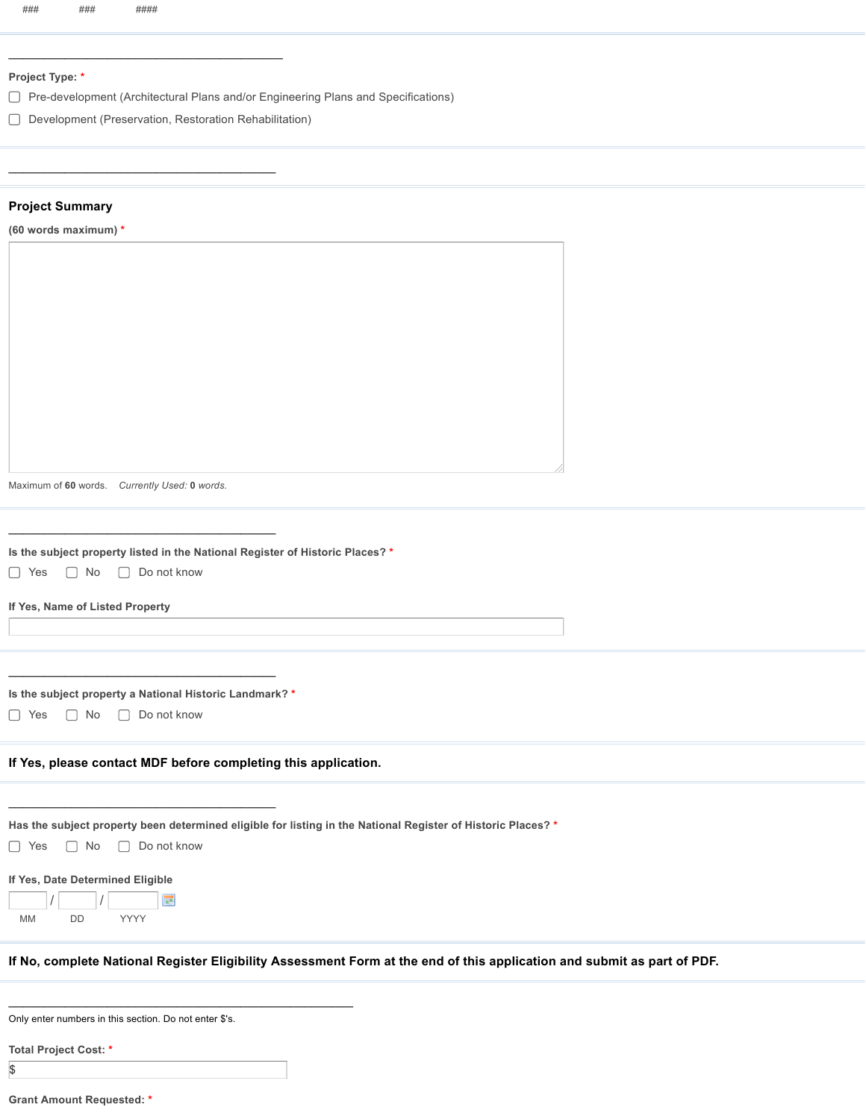#### **Project Type: \***

Pre-development (Architectural Plans and/or Engineering Plans and Specifications)

Development (Preservation, Restoration Rehabilitation)

 $\overline{\phantom{a}}$  , and the set of the set of the set of the set of the set of the set of the set of the set of the set of the set of the set of the set of the set of the set of the set of the set of the set of the set of the s

 $\mathcal{L}_\text{max}$  and  $\mathcal{L}_\text{max}$  and  $\mathcal{L}_\text{max}$  and  $\mathcal{L}_\text{max}$ 

#### **Project Summary**

|  |  | (60 words maximum) * |  |
|--|--|----------------------|--|
|  |  |                      |  |

Maximum of **60** words. *Currently Used:* **0** *words.*

**Is the subject property listed in the National Register of Historic Places? \***

□ Yes □ No □ Do not know

**If Yes, Name of Listed Property**

 $\mathcal{L}_\text{max}$  and  $\mathcal{L}_\text{max}$  and  $\mathcal{L}_\text{max}$  and  $\mathcal{L}_\text{max}$ **Is the subject property a National Historic Landmark? \***

 $\mathcal{L}_\text{max}$  and  $\mathcal{L}_\text{max}$  and  $\mathcal{L}_\text{max}$  and  $\mathcal{L}_\text{max}$ 

 $\mathcal{L}_\text{max}$  and  $\mathcal{L}_\text{max}$  and  $\mathcal{L}_\text{max}$  and  $\mathcal{L}_\text{max}$ 

□ Yes □ No □ Do not know

**If Yes, please contact MDF before completing this application.**

 $\mathcal{L}_\text{max}$  , and the set of the set of the set of the set of the set of the set of the set of the set of the set of the set of the set of the set of the set of the set of the set of the set of the set of the set of the

| Has the subject property been determined eligible for listing in the National Register of Historic Places? * |  |  |  |  |  |  |  |
|--------------------------------------------------------------------------------------------------------------|--|--|--|--|--|--|--|
|--------------------------------------------------------------------------------------------------------------|--|--|--|--|--|--|--|

| $\Box$ Yes |
|------------|
|------------|

# **If Yes, Date Determined Eligible**

| <b>MM</b> | <b>YYYY</b> |  |
|-----------|-------------|--|

If No, complete National Register Eligibility Assessment Form at the end of this application and submit as part of PDF.

|  | Only enter numbers in this section. Do not enter \$'s. |  |
|--|--------------------------------------------------------|--|
|--|--------------------------------------------------------|--|

**Total Project Cost: \***

\$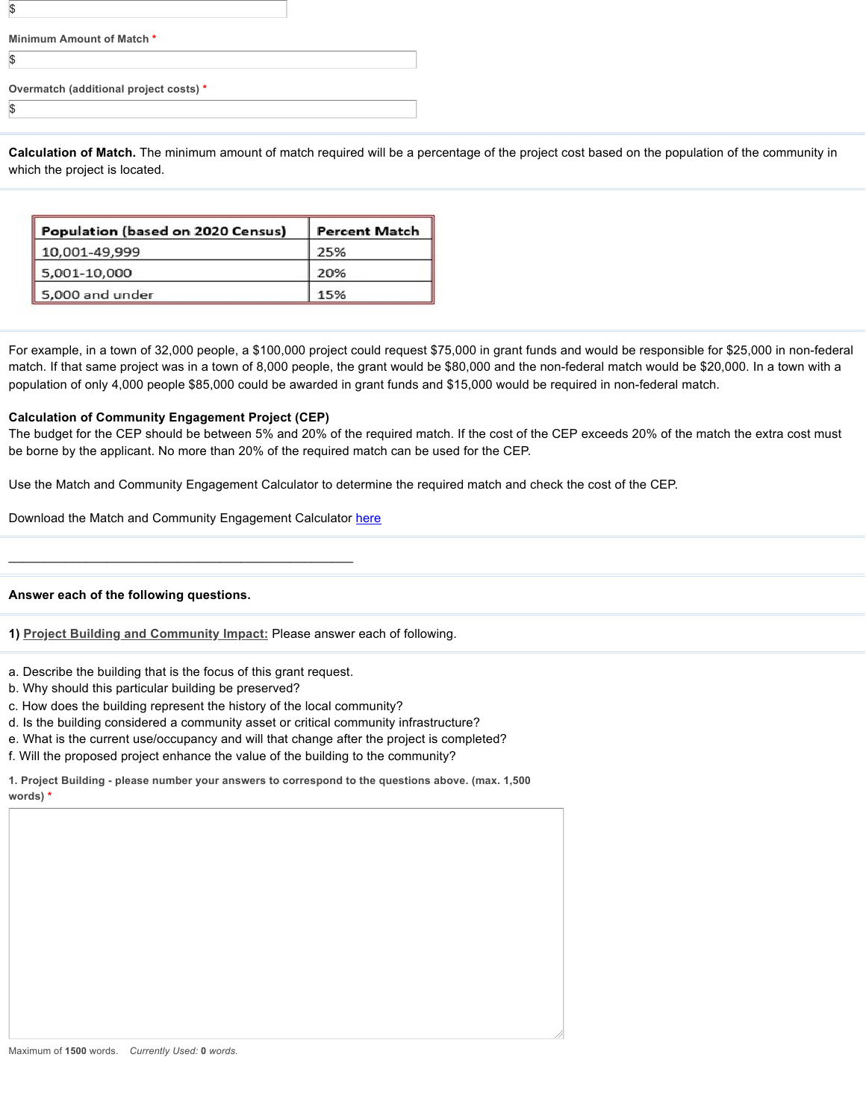| Minimum Amount of Match *              |  |
|----------------------------------------|--|
|                                        |  |
| Overmatch (additional project costs) * |  |
|                                        |  |

**Calculation of Match.** The minimum amount of match required will be a percentage of the project cost based on the population of the community in which the project is located.

| Population (based on 2020 Census) | <b>Percent Match</b> |
|-----------------------------------|----------------------|
| 10,001-49,999                     | 25%                  |
| $\parallel$ 5,001-10,000          | 20%                  |
| 5,000 and under                   | 15%                  |

For example, in a town of 32,000 people, a \$100,000 project could request \$75,000 in grant funds and would be responsible for \$25,000 in non-federal match. If that same project was in a town of 8,000 people, the grant would be \$80,000 and the non-federal match would be \$20,000. In a town with a population of only 4,000 people \$85,000 could be awarded in grant funds and \$15,000 would be required in non-federal match.

#### **Calculation of Community Engagement Project (CEP)**

The budget for the CEP should be between 5% and 20% of the required match. If the cost of the CEP exceeds 20% of the match the extra cost must be borne by the applicant. No more than 20% of the required match can be used for the CEP.

Use the Match and Community Engagement Calculator to determine the required match and check the cost of the CEP.

Download the Match and Community Engagement Calculator [here](https://s3.us-west-2.amazonaws.com/filestorage-asset.wufoo.com/3f7b5d6a-5529-4a26-a243-55b0653680eb/fd24ab05-cc4e-4c0c-bdeb-3a0410069e36)

 $\mathcal{L}_\text{max}$  and the contract of the contract of the contract of the contract of the contract of the contract of the contract of the contract of the contract of the contract of the contract of the contract of the contrac

#### **Answer each of the following questions.**

**1) Project Building and Community Impact:** Please answer each of following.

- a. Describe the building that is the focus of this grant request.
- b. Why should this particular building be preserved?
- c. How does the building represent the history of the local community?
- d. Is the building considered a community asset or critical community infrastructure?
- e. What is the current use/occupancy and will that change after the project is completed?
- f. Will the proposed project enhance the value of the building to the community?

**1. Project Building - please number your answers to correspond to the questions above. (max. 1,500 words) \***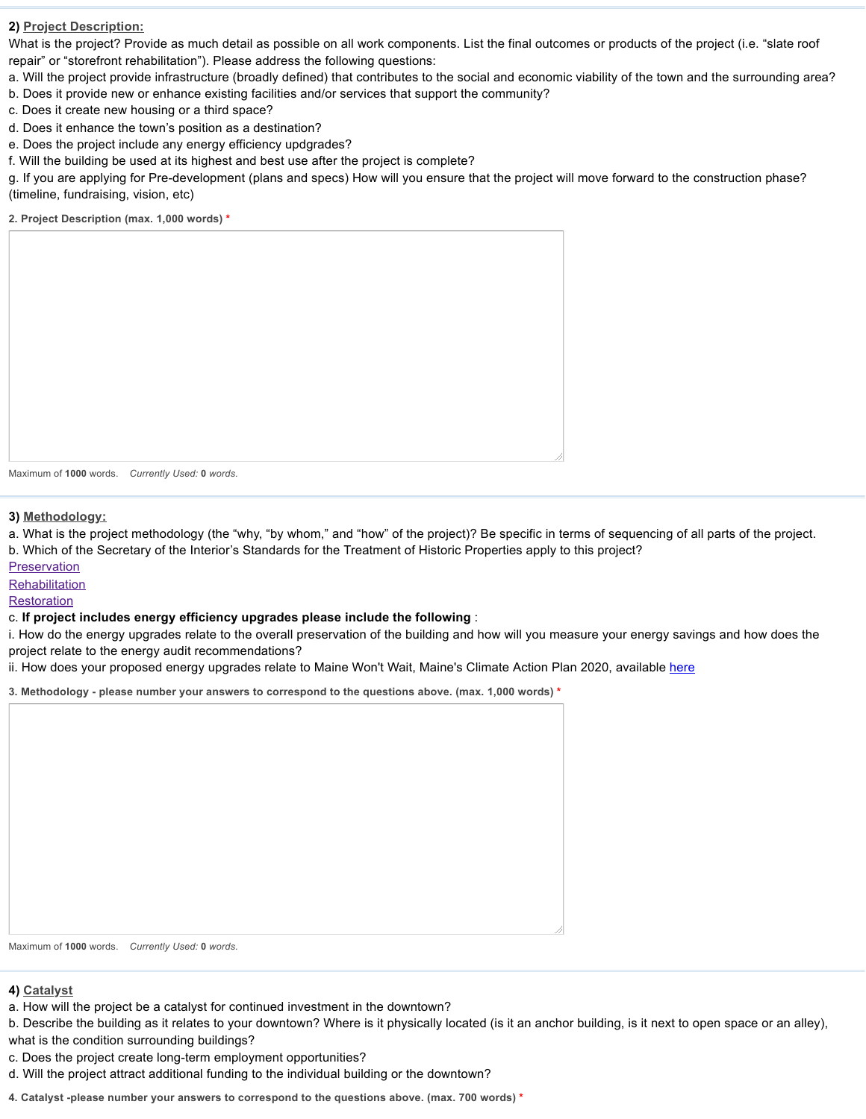## **2) Project Description:**

What is the project? Provide as much detail as possible on all work components. List the final outcomes or products of the project (i.e. "slate roof repair" or "storefront rehabilitation"). Please address the following questions:

a. Will the project provide infrastructure (broadly defined) that contributes to the social and economic viability of the town and the surrounding area?

- b. Does it provide new or enhance existing facilities and/or services that support the community?
- c. Does it create new housing or a third space?
- d. Does it enhance the town's position as a destination?
- e. Does the project include any energy efficiency updgrades?
- f. Will the building be used at its highest and best use after the project is complete?

g. If you are applying for Pre-development (plans and specs) How will you ensure that the project will move forward to the construction phase? (timeline, fundraising, vision, etc)

**2. Project Description (max. 1,000 words) \***

Maximum of **1000** words. *Currently Used:* **0** *words.*

**3) Methodology:**

a. What is the project methodology (the "why, "by whom," and "how" of the project)? Be specific in terms of sequencing of all parts of the project.

b. Which of the Secretary of the Interior's Standards for the Treatment of Historic Properties apply to this project?

[Preservation](https://www.nps.gov/tps/standards/four-treatments/treatment-preservation.htm)

**[Rehabilitation](https://www.nps.gov/tps/standards/four-treatments/treatment-rehabilitation.htm)** 

**[Restoration](https://www.nps.gov/tps/standards/four-treatments/treatment-restoration.htm)** 

# c. **If project includes energy efficiency upgrades please include the following** :

i. How do the energy upgrades relate to the overall preservation of the building and how will you measure your energy savings and how does the project relate to the energy audit recommendations?

ii. How does your proposed energy upgrades relate to Maine Won't Wait, Maine's Climate Action Plan 2020, available [here](https://s3.us-west-2.amazonaws.com/filestorage-asset.wufoo.com/3f7b5d6a-5529-4a26-a243-55b0653680eb/f31bf5da-03cf-4768-85e0-3a50580745ba)

**3. Methodology - please number your answers to correspond to the questions above. (max. 1,000 words) \***

Maximum of **1000** words. *Currently Used:* **0** *words.*

# **4) Catalyst**

a. How will the project be a catalyst for continued investment in the downtown?

b. Describe the building as it relates to your downtown? Where is it physically located (is it an anchor building, is it next to open space or an alley), what is the condition surrounding buildings?

- c. Does the project create long-term employment opportunities?
- d. Will the project attract additional funding to the individual building or the downtown?

**4. Catalyst -please number your answers to correspond to the questions above. (max. 700 words) \***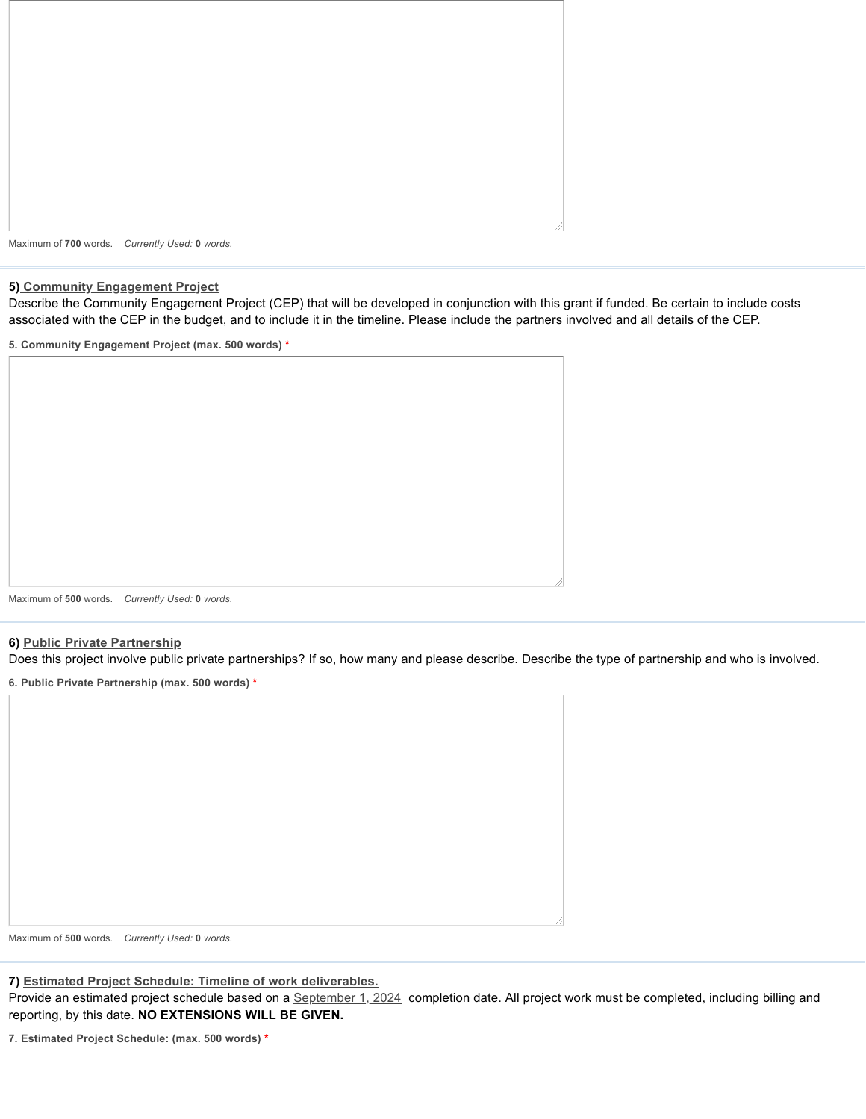

#### **5) Community Engagement Project**

Describe the Community Engagement Project (CEP) that will be developed in conjunction with this grant if funded. Be certain to include costs associated with the CEP in the budget, and to include it in the timeline. Please include the partners involved and all details of the CEP.

**5. Community Engagement Project (max. 500 words) \***

Maximum of **500** words. *Currently Used:* **0** *words.*

#### **6) Public Private Partnership**

Does this project involve public private partnerships? If so, how many and please describe. Describe the type of partnership and who is involved.

**6. Public Private Partnership (max. 500 words) \***

Maximum of **500** words. *Currently Used:* **0** *words.*

**7) Estimated Project Schedule: Timeline of work deliverables.**

Provide an estimated project schedule based on a September 1, 2024 completion date. All project work must be completed, including billing and reporting, by this date. **NO EXTENSIONS WILL BE GIVEN.**

**7. Estimated Project Schedule: (max. 500 words) \***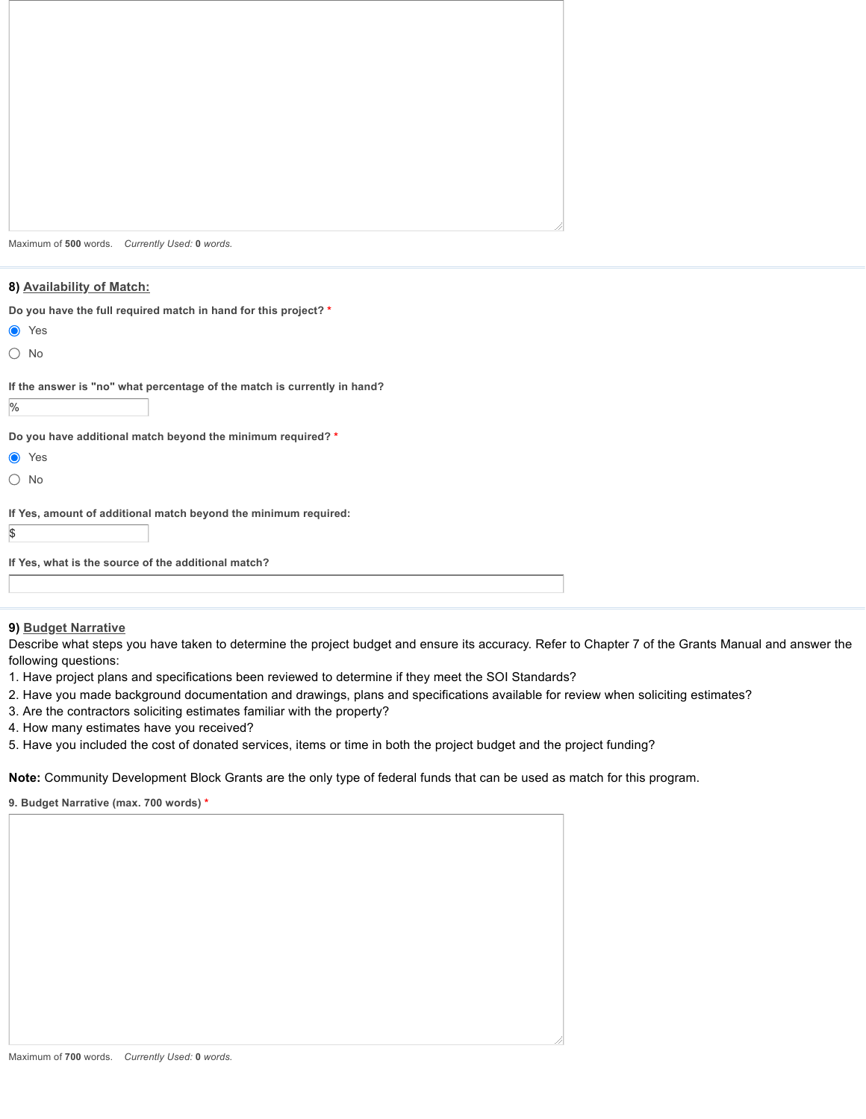Maximum of **500** words. *Currently Used:* **0** *words.*

# **8) Availability of Match:**

|  |  | Do you have the full required match in hand for this project? * |  |  |  |
|--|--|-----------------------------------------------------------------|--|--|--|
|  |  |                                                                 |  |  |  |

- **O** Yes
- No

 $\frac{9}{6}$ 

**If the answer is "no" what percentage of the match is currently in hand?**

**Do you have additional match beyond the minimum required? \***

- **●** Yes
- No

\$

**If Yes, amount of additional match beyond the minimum required:**

```
If Yes, what is the source of the additional match?
```
### **9) Budget Narrative**

Describe what steps you have taken to determine the project budget and ensure its accuracy. Refer to Chapter 7 of the Grants Manual and answer the following questions:

- 1. Have project plans and specifications been reviewed to determine if they meet the SOI Standards?
- 2. Have you made background documentation and drawings, plans and specifications available for review when soliciting estimates?
- 3. Are the contractors soliciting estimates familiar with the property?
- 4. How many estimates have you received?
- 5. Have you included the cost of donated services, items or time in both the project budget and the project funding?

**Note:** Community Development Block Grants are the only type of federal funds that can be used as match for this program.

**9. Budget Narrative (max. 700 words) \***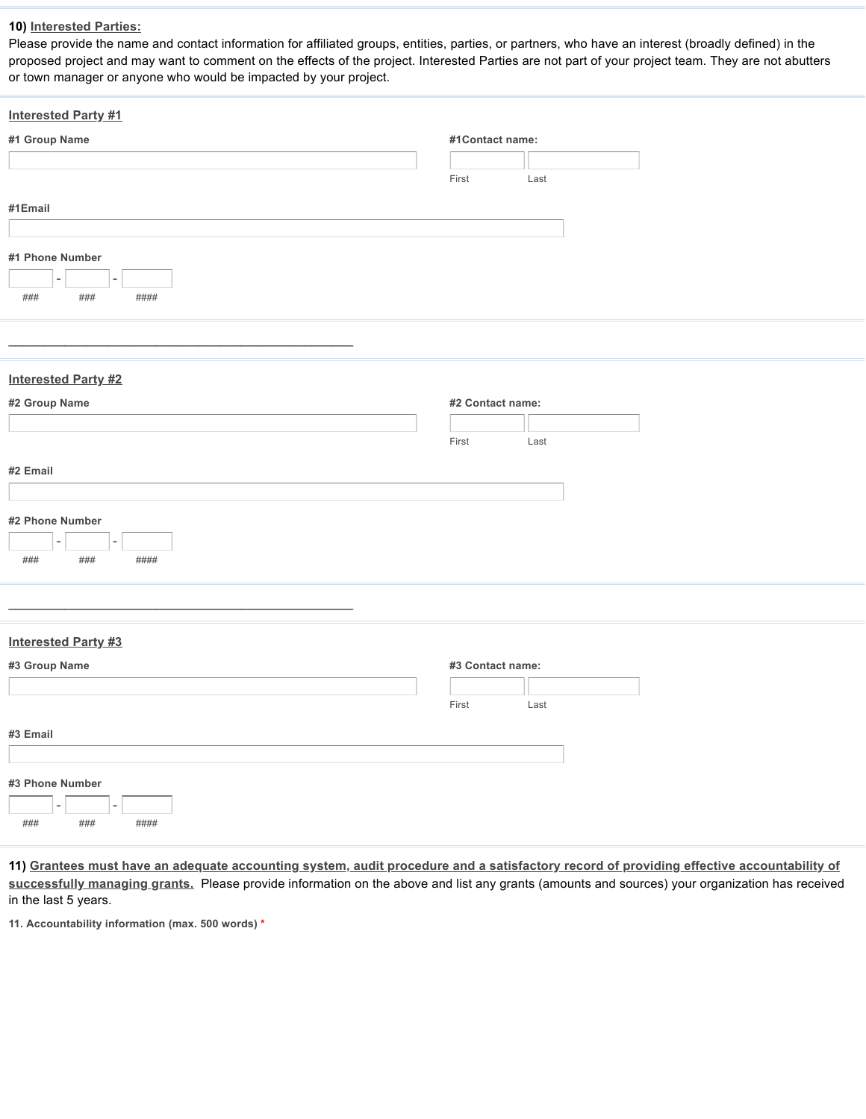### **10) Interested Parties:**

Please provide the name and contact information for affiliated groups, entities, parties, or partners, who have an interest (broadly defined) in the proposed project and may want to comment on the effects of the project. Interested Parties are not part of your project team. They are not abutters or town manager or anyone who would be impacted by your project.

| <b>Interested Party #1</b>                 |                  |      |  |
|--------------------------------------------|------------------|------|--|
| #1 Group Name                              | #1Contact name:  |      |  |
|                                            |                  |      |  |
|                                            | First            | Last |  |
| #1Email                                    |                  |      |  |
|                                            |                  |      |  |
|                                            |                  |      |  |
| #1 Phone Number                            |                  |      |  |
| ۳                                          |                  |      |  |
| $\# \# \#$<br>$\# \# \#$<br>####           |                  |      |  |
|                                            |                  |      |  |
|                                            |                  |      |  |
| <b>Interested Party #2</b>                 |                  |      |  |
|                                            | #2 Contact name: |      |  |
| #2 Group Name                              |                  |      |  |
|                                            | First            | Last |  |
|                                            |                  |      |  |
| #2 Email                                   |                  |      |  |
|                                            |                  |      |  |
| #2 Phone Number                            |                  |      |  |
| $\sim$<br>٠                                |                  |      |  |
| $\# \# \#$<br>$\# \# \#$<br>####           |                  |      |  |
|                                            |                  |      |  |
|                                            |                  |      |  |
|                                            |                  |      |  |
| <b>Interested Party #3</b>                 |                  |      |  |
| #3 Group Name                              | #3 Contact name: |      |  |
|                                            |                  |      |  |
|                                            | First            | Last |  |
| #3 Email                                   |                  |      |  |
|                                            |                  |      |  |
|                                            |                  |      |  |
| #3 Phone Number                            |                  |      |  |
| $\overline{\phantom{a}}$<br>$\overline{a}$ |                  |      |  |
| $\# \# \#$<br>$\# \# \#$<br>$\# \# \# \#$  |                  |      |  |

11) Grantees must have an adequate accounting system, audit procedure and a satisfactory record of providing effective accountability of **successfully managing grants.** Please provide information on the above and list any grants (amounts and sources) your organization has received in the last 5 years.

**11. Accountability information (max. 500 words) \***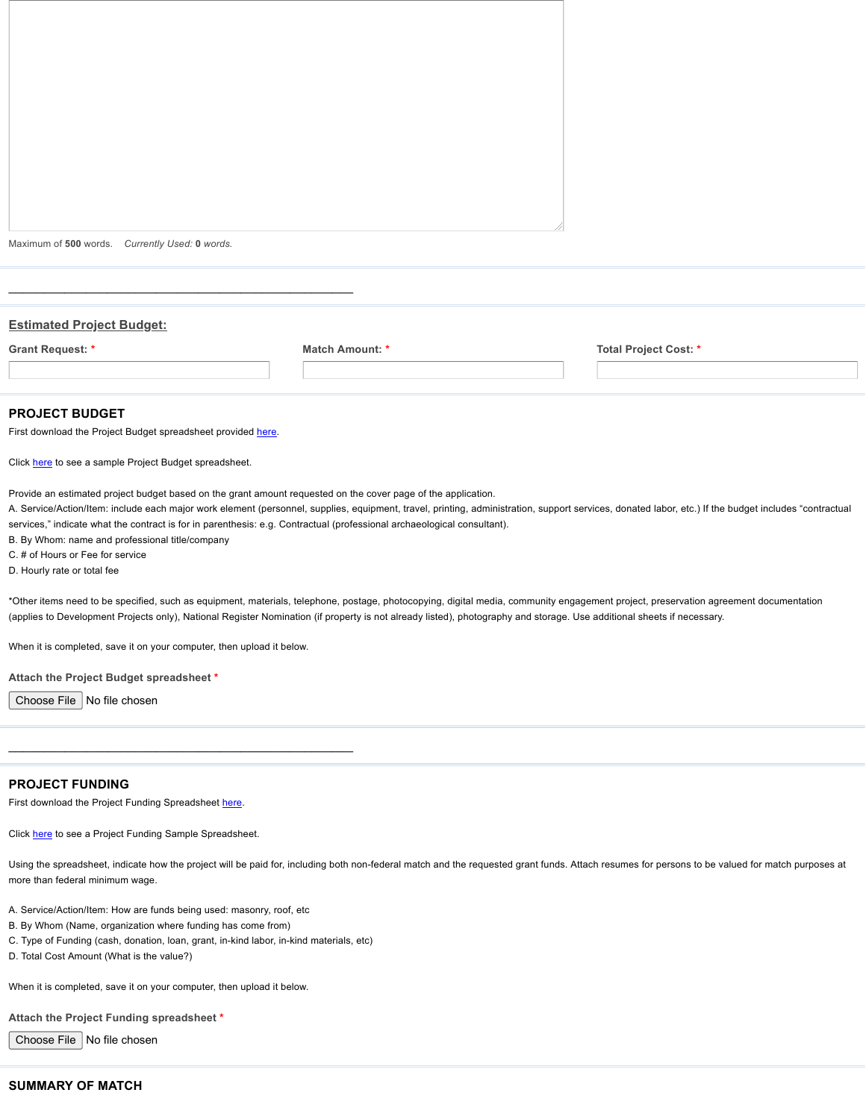Maximum of **500** words. *Currently Used:* **0** *words.*

| <b>Estimated Project Budget:</b> |                        |                       |  |  |
|----------------------------------|------------------------|-----------------------|--|--|
| Grant Request: *                 | <b>Match Amount: *</b> | Total Project Cost: * |  |  |
|                                  |                        |                       |  |  |
|                                  |                        |                       |  |  |

#### **PROJECT BUDGET**

First download the Project Budget spreadsheet provided [here.](https://s3.us-west-2.amazonaws.com/filestorage-asset.wufoo.com/3f7b5d6a-5529-4a26-a243-55b0653680eb/5fee4c9c-911a-4b16-bcc5-315649680789)

 $\mathcal{L}_\text{max}$  , and the contract of the contract of the contract of the contract of the contract of the contract of the contract of the contract of the contract of the contract of the contract of the contract of the contr

Click [here](https://s3.us-west-2.amazonaws.com/filestorage-asset.wufoo.com/3f7b5d6a-5529-4a26-a243-55b0653680eb/4d41c0bf-3426-45e9-8c6d-880740ac11e1) to see a sample Project Budget spreadsheet.

Provide an estimated project budget based on the grant amount requested on the cover page of the application.

A. Service/Action/Item: include each major work element (personnel, supplies, equipment, travel, printing, administration, support services, donated labor, etc.) If the budget includes "contractual services," indicate what the contract is for in parenthesis: e.g. Contractual (professional archaeological consultant).

B. By Whom: name and professional title/company

C. # of Hours or Fee for service

D. Hourly rate or total fee

\*Other items need to be specified, such as equipment, materials, telephone, postage, photocopying, digital media, community engagement project, preservation agreement documentation (applies to Development Projects only), National Register Nomination (if property is not already listed), photography and storage. Use additional sheets if necessary.

When it is completed, save it on your computer, then upload it below.

**Attach the Project Budget spreadsheet \***

Choose File  $\vert$  No file chosen

#### **PROJECT FUNDING**

First download the Project Funding Spreadsheet [here](https://s3.us-west-2.amazonaws.com/filestorage-asset.wufoo.com/3f7b5d6a-5529-4a26-a243-55b0653680eb/196c0757-4e0d-4710-98d8-ad4c0b54f46c).

Click [here](https://s3.us-west-2.amazonaws.com/filestorage-asset.wufoo.com/3f7b5d6a-5529-4a26-a243-55b0653680eb/99f742ae-43a3-4b22-bd1d-26c0b377a0ab) to see a Project Funding Sample Spreadsheet.

Using the spreadsheet, indicate how the project will be paid for, including both non-federal match and the requested grant funds. Attach resumes for persons to be valued for match purposes at more than federal minimum wage.

- A. Service/Action/Item: How are funds being used: masonry, roof, etc
- B. By Whom (Name, organization where funding has come from)
- C. Type of Funding (cash, donation, loan, grant, in-kind labor, in-kind materials, etc)

 $\mathcal{L}_\text{max}$  , and the set of the set of the set of the set of the set of the set of the set of the set of the set of the set of the set of the set of the set of the set of the set of the set of the set of the set of the

D. Total Cost Amount (What is the value?)

When it is completed, save it on your computer, then upload it below.

**Attach the Project Funding spreadsheet \***

Choose File  $\vert$  No file chosen